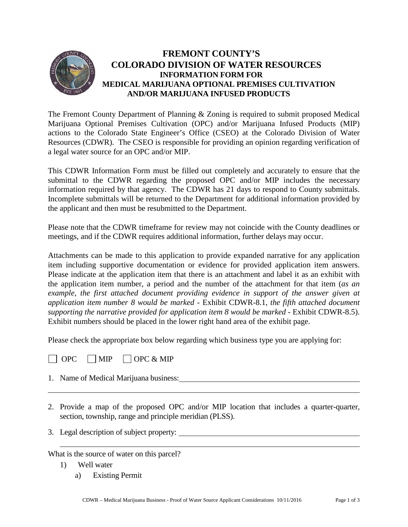

## **FREMONT COUNTY'S COLORADO DIVISION OF WATER RESOURCES INFORMATION FORM FOR MEDICAL MARIJUANA OPTIONAL PREMISES CULTIVATION AND/OR MARIJUANA INFUSED PRODUCTS**

The Fremont County Department of Planning & Zoning is required to submit proposed Medical Marijuana Optional Premises Cultivation (OPC) and/or Marijuana Infused Products (MIP) actions to the Colorado State Engineer's Office (CSEO) at the Colorado Division of Water Resources (CDWR). The CSEO is responsible for providing an opinion regarding verification of a legal water source for an OPC and/or MIP.

This CDWR Information Form must be filled out completely and accurately to ensure that the submittal to the CDWR regarding the proposed OPC and/or MIP includes the necessary information required by that agency. The CDWR has 21 days to respond to County submittals. Incomplete submittals will be returned to the Department for additional information provided by the applicant and then must be resubmitted to the Department.

Please note that the CDWR timeframe for review may not coincide with the County deadlines or meetings, and if the CDWR requires additional information, further delays may occur.

Attachments can be made to this application to provide expanded narrative for any application item including supportive documentation or evidence for provided application item answers. Please indicate at the application item that there is an attachment and label it as an exhibit with the application item number, a period and the number of the attachment for that item (*as an example, the first attached document providing evidence in support of the answer given at application item number 8 would be marked* - Exhibit CDWR-8.1, *the fifth attached document supporting the narrative provided for application item 8 would be marked* - Exhibit CDWR-8.5). Exhibit numbers should be placed in the lower right hand area of the exhibit page.

Please check the appropriate box below regarding which business type you are applying for:



- 1. Name of Medical Marijuana business:
- 2. Provide a map of the proposed OPC and/or MIP location that includes a quarter-quarter, section, township, range and principle meridian (PLSS).
- 3. Legal description of subject property:

What is the source of water on this parcel?

- 1) Well water
	- a) Existing Permit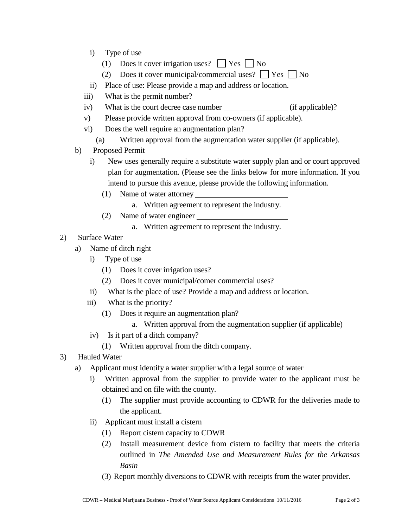- i) Type of use
	- (1) Does it cover irrigation uses?  $\Box$  Yes  $\Box$  No
	- (2) Does it cover municipal/commercial uses?  $\Box$  Yes  $\Box$  No
- ii) Place of use: Please provide a map and address or location.
- iii) What is the permit number?
- iv) What is the court decree case number (if applicable)?
- v) Please provide written approval from co-owners (if applicable).
- vi) Does the well require an augmentation plan?
	- (a) Written approval from the augmentation water supplier (if applicable).
- b) Proposed Permit
	- i) New uses generally require a substitute water supply plan and or court approved plan for augmentation. (Please see the links below for more information. If you intend to pursue this avenue, please provide the following information.
		- (1) Name of water attorney
			- a. Written agreement to represent the industry.
		- (2) Name of water engineer
			- a. Written agreement to represent the industry.
- 2) Surface Water
	- a) Name of ditch right
		- i) Type of use
			- (1) Does it cover irrigation uses?
			- (2) Does it cover municipal/comer commercial uses?
		- ii) What is the place of use? Provide a map and address or location.
		- iii) What is the priority?
			- (1) Does it require an augmentation plan?
				- a. Written approval from the augmentation supplier (if applicable)
		- iv) Is it part of a ditch company?
			- (1) Written approval from the ditch company.
- 3) Hauled Water
	- a) Applicant must identify a water supplier with a legal source of water
		- i) Written approval from the supplier to provide water to the applicant must be obtained and on file with the county.
			- (1) The supplier must provide accounting to CDWR for the deliveries made to the applicant.
		- ii) Applicant must install a cistern
			- (1) Report cistern capacity to CDWR
			- (2) Install measurement device from cistern to facility that meets the criteria outlined in *The Amended Use and Measurement Rules for the Arkansas Basin*
			- (3) Report monthly diversions to CDWR with receipts from the water provider.